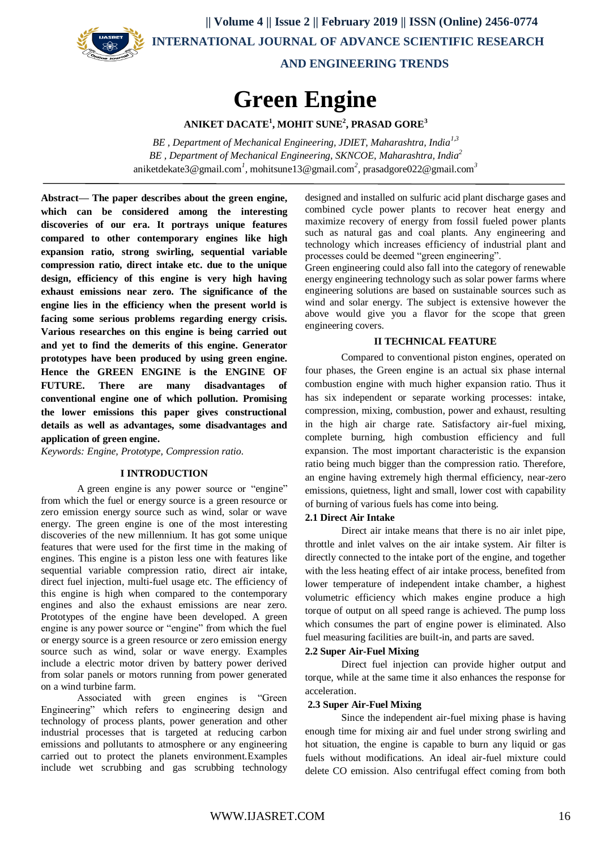

 **|| Volume 4 || Issue 2 || February 2019 || ISSN (Online) 2456-0774 INTERNATIONAL JOURNAL OF ADVANCE SCIENTIFIC RESEARCH** 

 **AND ENGINEERING TRENDS**

# **Green Engine**

**ANIKET DACATE<sup>1</sup> , MOHIT SUNE<sup>2</sup> , PRASAD GORE<sup>3</sup>**

*BE , Department of Mechanical Engineering, JDIET, Maharashtra, India1,3 BE , Department of Mechanical Engineering, SKNCOE, Maharashtra, India<sup>2</sup>* [aniketdekate3@gmail.com](mailto:aniketdekate3@gmail.com)*<sup>1</sup> ,* [mohitsune13@gmail.com](mailto:mohitsune13@gmail.com)*<sup>2</sup> ,* [prasadgore022@gmail.com](mailto:prasadgore022@gmail.com)*<sup>3</sup>*

**Abstract— The paper describes about the green engine, which can be considered among the interesting discoveries of our era. It portrays unique features compared to other contemporary engines like high expansion ratio, strong swirling, sequential variable compression ratio, direct intake etc. due to the unique design, efficiency of this engine is very high having exhaust emissions near zero. The significance of the engine lies in the efficiency when the present world is facing some serious problems regarding energy crisis. Various researches on this engine is being carried out and yet to find the demerits of this engine. Generator prototypes have been produced by using green engine. Hence the GREEN ENGINE is the ENGINE OF FUTURE. There are many disadvantages of conventional engine one of which pollution. Promising the lower emissions this paper gives constructional details as well as advantages, some disadvantages and application of green engine.**

*Keywords: Engine, Prototype, Compression ratio.*

#### **I INTRODUCTION**

A green engine is any power source or "engine" from which the fuel or energy source is a green resource or zero emission energy source such as wind, solar or wave energy. The green engine is one of the most interesting discoveries of the new millennium. It has got some unique features that were used for the first time in the making of engines. This engine is a piston less one with features like sequential variable compression ratio, direct air intake, direct fuel injection, multi-fuel usage etc. The efficiency of this engine is high when compared to the contemporary engines and also the exhaust emissions are near zero. Prototypes of the engine have been developed. A green engine is any power source or "engine" from which the fuel or energy source is a green resource or zero emission energy source such as wind, solar or wave energy. Examples include a electric motor driven by battery power derived from solar panels or motors running from power generated on a wind turbine farm.

Associated with green engines is "Green Engineering" which refers to engineering design and technology of process plants, power generation and other industrial processes that is targeted at reducing carbon emissions and pollutants to atmosphere or any engineering carried out to protect the planets environment.Examples include wet scrubbing and gas scrubbing technology

designed and installed on sulfuric acid plant discharge gases and combined cycle power plants to recover heat energy and maximize recovery of energy from fossil fueled power plants such as natural gas and coal plants. Any engineering and technology which increases efficiency of industrial plant and processes could be deemed "green engineering".

Green engineering could also fall into the category of renewable energy engineering technology such as solar power farms where engineering solutions are based on sustainable sources such as wind and solar energy. The subject is extensive however the above would give you a flavor for the scope that green engineering covers.

#### **II TECHNICAL FEATURE**

Compared to conventional piston engines, operated on four phases, the Green engine is an actual six phase internal combustion engine with much higher expansion ratio. Thus it has six independent or separate working processes: intake, compression, mixing, combustion, power and exhaust, resulting in the high air charge rate. Satisfactory air-fuel mixing, complete burning, high combustion efficiency and full expansion. The most important characteristic is the expansion ratio being much bigger than the compression ratio. Therefore, an engine having extremely high thermal efficiency, near-zero emissions, quietness, light and small, lower cost with capability of burning of various fuels has come into being.

#### **2.1 Direct Air Intake**

Direct air intake means that there is no air inlet pipe, throttle and inlet valves on the air intake system. Air filter is directly connected to the intake port of the engine, and together with the less heating effect of air intake process, benefited from lower temperature of independent intake chamber, a highest volumetric efficiency which makes engine produce a high torque of output on all speed range is achieved. The pump loss which consumes the part of engine power is eliminated. Also fuel measuring facilities are built-in, and parts are saved.

#### **2.2 Super Air-Fuel Mixing**

Direct fuel injection can provide higher output and torque, while at the same time it also enhances the response for acceleration.

#### **2.3 Super Air-Fuel Mixing**

Since the independent air-fuel mixing phase is having enough time for mixing air and fuel under strong swirling and hot situation, the engine is capable to burn any liquid or gas fuels without modifications. An ideal air-fuel mixture could delete CO emission. Also centrifugal effect coming from both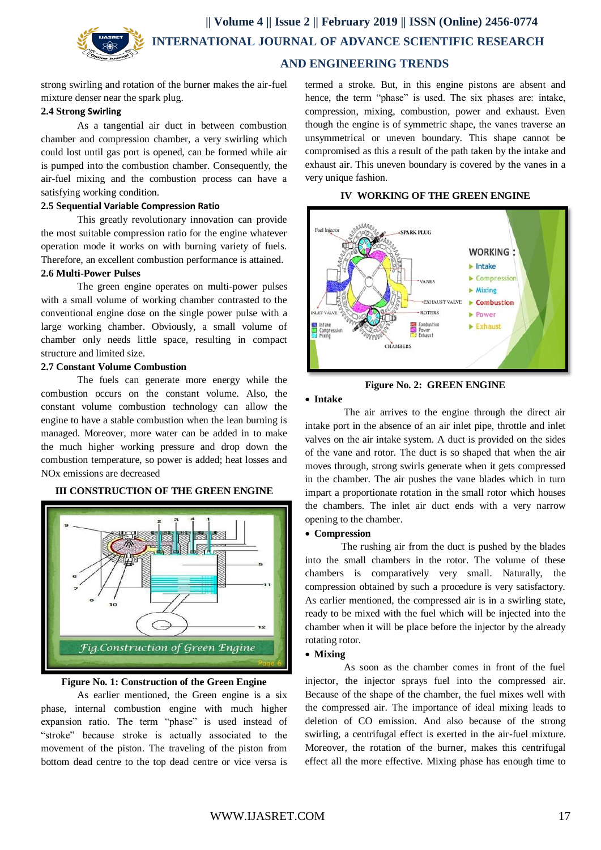**|| Volume 4 || Issue 2 || February 2019 || ISSN (Online) 2456-0774 INTERNATIONAL JOURNAL OF ADVANCE SCIENTIFIC RESEARCH** 

# **AND ENGINEERING TRENDS**

strong swirling and rotation of the burner makes the air-fuel mixture denser near the spark plug.

#### **2.4 Strong Swirling**

As a tangential air duct in between combustion chamber and compression chamber, a very swirling which could lost until gas port is opened, can be formed while air is pumped into the combustion chamber. Consequently, the air-fuel mixing and the combustion process can have a satisfying working condition.

### **2.5 Sequential Variable Compression Ratio**

This greatly revolutionary innovation can provide the most suitable compression ratio for the engine whatever operation mode it works on with burning variety of fuels. Therefore, an excellent combustion performance is attained.

# **2.6 Multi-Power Pulses**

The green engine operates on multi-power pulses with a small volume of working chamber contrasted to the conventional engine dose on the single power pulse with a large working chamber. Obviously, a small volume of chamber only needs little space, resulting in compact structure and limited size.

### **2.7 Constant Volume Combustion**

The fuels can generate more energy while the combustion occurs on the constant volume. Also, the constant volume combustion technology can allow the engine to have a stable combustion when the lean burning is managed. Moreover, more water can be added in to make the much higher working pressure and drop down the combustion temperature, so power is added; heat losses and NOx emissions are decreased

# **III CONSTRUCTION OF THE GREEN ENGINE**



#### **Figure No. 1: Construction of the Green Engine**

As earlier mentioned, the Green engine is a six phase, internal combustion engine with much higher expansion ratio. The term "phase" is used instead of "stroke" because stroke is actually associated to the movement of the piston. The traveling of the piston from bottom dead centre to the top dead centre or vice versa is

termed a stroke. But, in this engine pistons are absent and hence, the term "phase" is used. The six phases are: intake, compression, mixing, combustion, power and exhaust. Even though the engine is of symmetric shape, the vanes traverse an unsymmetrical or uneven boundary. This shape cannot be compromised as this a result of the path taken by the intake and exhaust air. This uneven boundary is covered by the vanes in a very unique fashion.

#### **IV WORKING OF THE GREEN ENGINE**



# **Figure No. 2: GREEN ENGINE**

#### **Intake**

The air arrives to the engine through the direct air intake port in the absence of an air inlet pipe, throttle and inlet valves on the air intake system. A duct is provided on the sides of the vane and rotor. The duct is so shaped that when the air moves through, strong swirls generate when it gets compressed in the chamber. The air pushes the vane blades which in turn impart a proportionate rotation in the small rotor which houses the chambers. The inlet air duct ends with a very narrow opening to the chamber.

#### **Compression**

The rushing air from the duct is pushed by the blades into the small chambers in the rotor. The volume of these chambers is comparatively very small. Naturally, the compression obtained by such a procedure is very satisfactory. As earlier mentioned, the compressed air is in a swirling state, ready to be mixed with the fuel which will be injected into the chamber when it will be place before the injector by the already rotating rotor.

# **Mixing**

As soon as the chamber comes in front of the fuel injector, the injector sprays fuel into the compressed air. Because of the shape of the chamber, the fuel mixes well with the compressed air. The importance of ideal mixing leads to deletion of CO emission. And also because of the strong swirling, a centrifugal effect is exerted in the air-fuel mixture. Moreover, the rotation of the burner, makes this centrifugal effect all the more effective. Mixing phase has enough time to